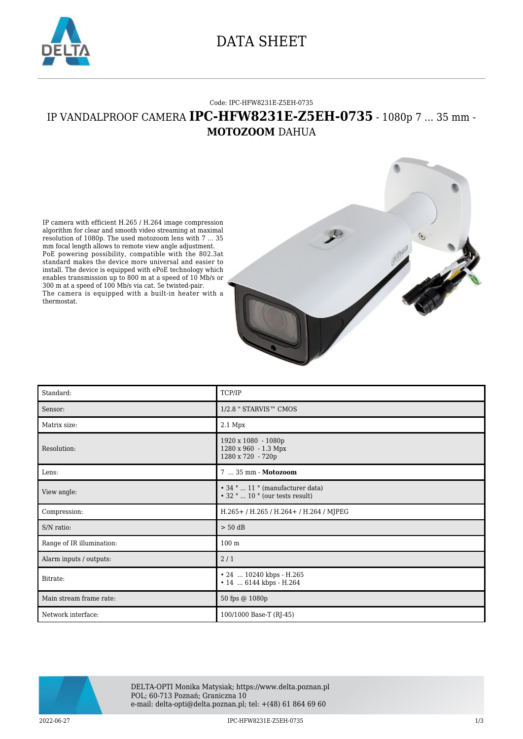

## DATA SHEET

#### Code: IPC-HFW8231E-Z5EH-0735

### IP VANDALPROOF CAMERA **IPC-HFW8231E-Z5EH-0735** - 1080p 7 ... 35 mm - **MOTOZOOM** DAHUA

IP camera with efficient H.265 / H.264 image compression algorithm for clear and smooth video streaming at maximal resolution of 1080p. The used motozoom lens with 7 ... 35 mm focal length allows to remote view angle adjustment. PoE powering possibility, compatible with the 802.3at standard makes the device more universal and easier to install. The device is equipped with ePoE technology which enables transmission up to 800 m at a speed of 10 Mb/s or 300 m at a speed of 100 Mb/s via cat. 5e twisted-pair. The camera is equipped with a built-in heater with a thermostat.



| Standard:                 | TCP/IP                                                                    |
|---------------------------|---------------------------------------------------------------------------|
| Sensor:                   | 1/2.8 " STARVIS™ CMOS                                                     |
| Matrix size:              | $2.1$ Mpx                                                                 |
| Resolution:               | 1920 x 1080 - 1080p<br>1280 x 960 - 1.3 Mpx<br>1280 x 720 - 720p          |
| Lens:                     | 7  35 mm - Motozoom                                                       |
| View angle:               | • 34 °  11 ° (manufacturer data)<br>$\cdot$ 32 °  10 ° (our tests result) |
| Compression:              | H.265+/H.265/H.264+/H.264/MJPEG                                           |
| S/N ratio:                | $> 50$ dB                                                                 |
| Range of IR illumination: | 100 <sub>m</sub>                                                          |
| Alarm inputs / outputs:   | 2/1                                                                       |
| Bitrate:                  | • 24  10240 kbps - H.265<br>• 14  6144 kbps - H.264                       |
| Main stream frame rate:   | 50 fps @ 1080p                                                            |
| Network interface:        | 100/1000 Base-T (RJ-45)                                                   |



DELTA-OPTI Monika Matysiak; https://www.delta.poznan.pl POL; 60-713 Poznań; Graniczna 10 e-mail: delta-opti@delta.poznan.pl; tel: +(48) 61 864 69 60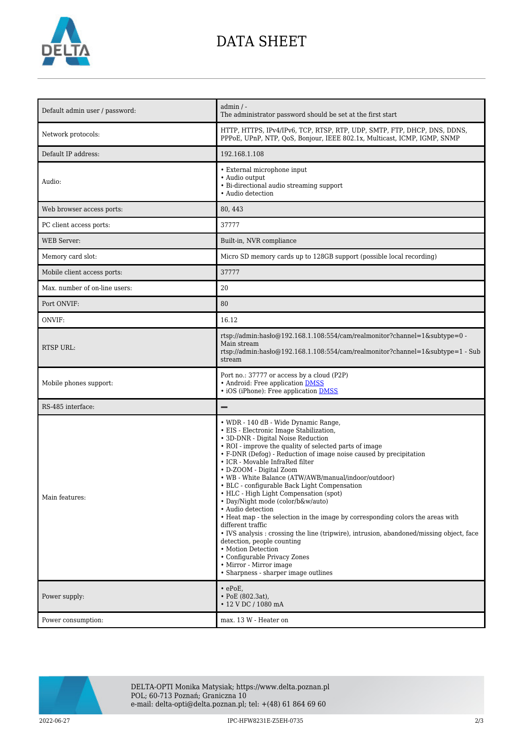

# DATA SHEET

| Default admin user / password: | admin / -<br>The administrator password should be set at the first start                                                                                                                                                                                                                                                                                                                                                                                                                                                                                                                                                                                                                                                                                                                                                                                                                  |
|--------------------------------|-------------------------------------------------------------------------------------------------------------------------------------------------------------------------------------------------------------------------------------------------------------------------------------------------------------------------------------------------------------------------------------------------------------------------------------------------------------------------------------------------------------------------------------------------------------------------------------------------------------------------------------------------------------------------------------------------------------------------------------------------------------------------------------------------------------------------------------------------------------------------------------------|
| Network protocols:             | HTTP, HTTPS, IPv4/IPv6, TCP, RTSP, RTP, UDP, SMTP, FTP, DHCP, DNS, DDNS,<br>PPPoE, UPnP, NTP, QoS, Bonjour, IEEE 802.1x, Multicast, ICMP, IGMP, SNMP                                                                                                                                                                                                                                                                                                                                                                                                                                                                                                                                                                                                                                                                                                                                      |
| Default IP address:            | 192.168.1.108                                                                                                                                                                                                                                                                                                                                                                                                                                                                                                                                                                                                                                                                                                                                                                                                                                                                             |
| Audio:                         | • External microphone input<br>• Audio output<br>• Bi-directional audio streaming support<br>• Audio detection                                                                                                                                                                                                                                                                                                                                                                                                                                                                                                                                                                                                                                                                                                                                                                            |
| Web browser access ports:      | 80, 443                                                                                                                                                                                                                                                                                                                                                                                                                                                                                                                                                                                                                                                                                                                                                                                                                                                                                   |
| PC client access ports:        | 37777                                                                                                                                                                                                                                                                                                                                                                                                                                                                                                                                                                                                                                                                                                                                                                                                                                                                                     |
| <b>WEB</b> Server:             | Built-in, NVR compliance                                                                                                                                                                                                                                                                                                                                                                                                                                                                                                                                                                                                                                                                                                                                                                                                                                                                  |
| Memory card slot:              | Micro SD memory cards up to 128GB support (possible local recording)                                                                                                                                                                                                                                                                                                                                                                                                                                                                                                                                                                                                                                                                                                                                                                                                                      |
| Mobile client access ports:    | 37777                                                                                                                                                                                                                                                                                                                                                                                                                                                                                                                                                                                                                                                                                                                                                                                                                                                                                     |
| Max. number of on-line users:  | 20                                                                                                                                                                                                                                                                                                                                                                                                                                                                                                                                                                                                                                                                                                                                                                                                                                                                                        |
| Port ONVIF:                    | 80                                                                                                                                                                                                                                                                                                                                                                                                                                                                                                                                                                                                                                                                                                                                                                                                                                                                                        |
| ONVIF:                         | 16.12                                                                                                                                                                                                                                                                                                                                                                                                                                                                                                                                                                                                                                                                                                                                                                                                                                                                                     |
| <b>RTSP URL:</b>               | rtsp://admin:hasło@192.168.1.108:554/cam/realmonitor?channel=1&subtype=0 -<br>Main stream<br>rtsp://admin:haslo $@192.168.1.108.554/cam/realmonitor?channel=1$ &subtype=1 - Sub<br>stream                                                                                                                                                                                                                                                                                                                                                                                                                                                                                                                                                                                                                                                                                                 |
| Mobile phones support:         | Port no.: 37777 or access by a cloud (P2P)<br>• Android: Free application DMSS<br>• iOS (iPhone): Free application <b>DMSS</b>                                                                                                                                                                                                                                                                                                                                                                                                                                                                                                                                                                                                                                                                                                                                                            |
| RS-485 interface:              |                                                                                                                                                                                                                                                                                                                                                                                                                                                                                                                                                                                                                                                                                                                                                                                                                                                                                           |
| Main features:                 | • WDR - 140 dB - Wide Dynamic Range,<br>• EIS - Electronic Image Stabilization,<br>• 3D-DNR - Digital Noise Reduction<br>• ROI - improve the quality of selected parts of image<br>• F-DNR (Defog) - Reduction of image noise caused by precipitation<br>• ICR - Movable InfraRed filter<br>• D-ZOOM - Digital Zoom<br>• WB - White Balance (ATW/AWB/manual/indoor/outdoor)<br>• BLC - configurable Back Light Compensation<br>• HLC - High Light Compensation (spot)<br>· Day/Night mode (color/b&w/auto)<br>· Audio detection<br>• Heat map - the selection in the image by corresponding colors the areas with<br>different traffic<br>• IVS analysis : crossing the line (tripwire), intrusion, abandoned/missing object, face<br>detection, people counting<br>• Motion Detection<br>• Configurable Privacy Zones<br>• Mirror - Mirror image<br>• Sharpness - sharper image outlines |
| Power supply:                  | $\cdot$ ePoE,<br>• PoE (802.3at),<br>• 12 V DC / 1080 mA                                                                                                                                                                                                                                                                                                                                                                                                                                                                                                                                                                                                                                                                                                                                                                                                                                  |
| Power consumption:             | max. 13 W - Heater on                                                                                                                                                                                                                                                                                                                                                                                                                                                                                                                                                                                                                                                                                                                                                                                                                                                                     |



DELTA-OPTI Monika Matysiak; https://www.delta.poznan.pl POL; 60-713 Poznań; Graniczna 10 e-mail: delta-opti@delta.poznan.pl; tel: +(48) 61 864 69 60